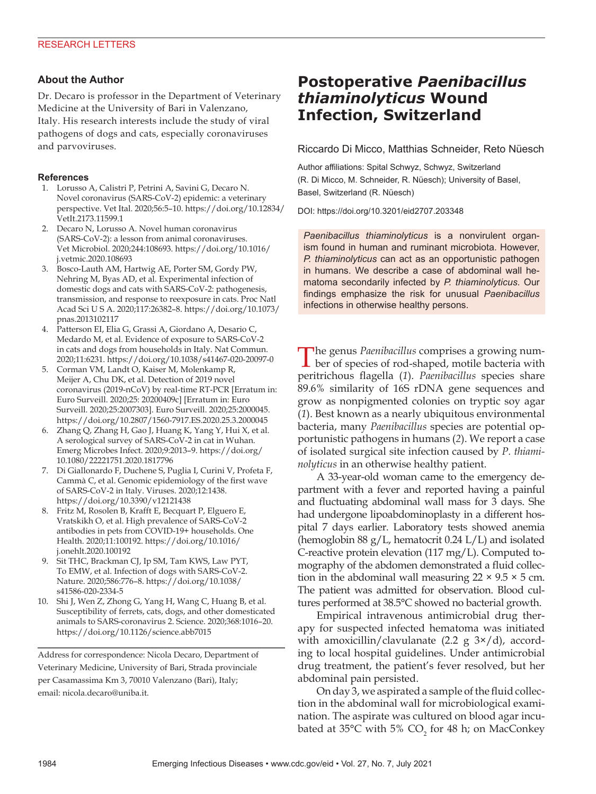## **About the Author**

Dr. Decaro is professor in the Department of Veterinary Medicine at the University of Bari in Valenzano, Italy. His research interests include the study of viral pathogens of dogs and cats, especially coronaviruses and parvoviruses.

### **References**

- 1. Lorusso A, Calistri P, Petrini A, Savini G, Decaro N. Novel coronavirus (SARS-CoV-2) epidemic: a veterinary perspective. Vet Ital. 2020;56:5–10. https://doi.org/10.12834/ VetIt.2173.11599.1
- 2. Decaro N, Lorusso A. Novel human coronavirus (SARS-CoV-2): a lesson from animal coronaviruses. Vet Microbiol. 2020;244:108693. https://doi.org/10.1016/ j.vetmic.2020.108693
- 3. Bosco-Lauth AM, Hartwig AE, Porter SM, Gordy PW, Nehring M, Byas AD, et al. Experimental infection of domestic dogs and cats with SARS-CoV-2: pathogenesis, transmission, and response to reexposure in cats. Proc Natl Acad Sci U S A. 2020;117:26382–8. https://doi.org/10.1073/ pnas.2013102117
- 4. Patterson EI, Elia G, Grassi A, Giordano A, Desario C, Medardo M, et al. Evidence of exposure to SARS-CoV-2 in cats and dogs from households in Italy. Nat Commun. 2020;11:6231. https://doi.org/10.1038/s41467-020-20097-0
- 5. Corman VM, Landt O, Kaiser M, Molenkamp R, Meijer A, Chu DK, et al. Detection of 2019 novel coronavirus (2019-nCoV) by real-time RT-PCR [Erratum in: Euro Surveill. 2020;25: 20200409c] [Erratum in: Euro Surveill. 2020;25:2007303]. Euro Surveill. 2020;25:2000045. https://doi.org/10.2807/1560-7917.ES.2020.25.3.2000045
- 6. Zhang Q, Zhang H, Gao J, Huang K, Yang Y, Hui X, et al. A serological survey of SARS-CoV-2 in cat in Wuhan. Emerg Microbes Infect. 2020;9:2013–9. https://doi.org/ 10.1080/22221751.2020.1817796
- 7. Di Giallonardo F, Duchene S, Puglia I, Curini V, Profeta F, Cammà C, et al. Genomic epidemiology of the first wave of SARS-CoV-2 in Italy. Viruses. 2020;12:1438. https://doi.org/10.3390/v12121438
- 8. Fritz M, Rosolen B, Krafft E, Becquart P, Elguero E, Vratskikh O, et al. High prevalence of SARS-CoV-2 antibodies in pets from COVID-19+ households. One Health. 2020;11:100192. https://doi.org/10.1016/ j.onehlt.2020.100192
- 9. Sit THC, Brackman CJ, Ip SM, Tam KWS, Law PYT, To EMW, et al. Infection of dogs with SARS-CoV-2. Nature. 2020;586:776–8. https://doi.org/10.1038/ s41586-020-2334-5
- 10. Shi J, Wen Z, Zhong G, Yang H, Wang C, Huang B, et al. Susceptibility of ferrets, cats, dogs, and other domesticated animals to SARS-coronavirus 2. Science. 2020;368:1016–20. https://doi.org/10.1126/science.abb7015

Address for correspondence: Nicola Decaro, Department of Veterinary Medicine, University of Bari, Strada provinciale per Casamassima Km 3, 70010 Valenzano (Bari), Italy; email: nicola.decaro@uniba.it.

# **Postoperative** *Paenibacillus thiaminolyticus* **Wound Infection, Switzerland**

Riccardo Di Micco, Matthias Schneider, Reto Nüesch

Author affiliations: Spital Schwyz, Schwyz, Switzerland (R. Di Micco, M. Schneider, R. Nüesch); University of Basel, Basel, Switzerland (R. Nüesch)

DOI: https://doi.org/10.3201/eid2707.203348

*Paenibacillus thiaminolyticus* is a nonvirulent organism found in human and ruminant microbiota. However, *P. thiaminolyticus* can act as an opportunistic pathogen in humans. We describe a case of abdominal wall hematoma secondarily infected by *P. thiaminolyticus*. Our findings emphasize the risk for unusual *Paenibacillus* infections in otherwise healthy persons.

The genus *Paenibacillus* comprises a growing number of species of rod-shaped, motile bacteria with peritrichous flagella (*1*). *Paenibacillus* species share 89.6% similarity of 16S rDNA gene sequences and grow as nonpigmented colonies on tryptic soy agar (*1*). Best known as a nearly ubiquitous environmental bacteria, many *Paenibacillus* species are potential opportunistic pathogens in humans (*2*). We report a case of isolated surgical site infection caused by *P. thiaminolyticus* in an otherwise healthy patient.

A 33-year-old woman came to the emergency department with a fever and reported having a painful and fluctuating abdominal wall mass for 3 days. She had undergone lipoabdominoplasty in a different hospital 7 days earlier. Laboratory tests showed anemia (hemoglobin 88 g/L, hematocrit 0.24 L/L) and isolated C-reactive protein elevation (117 mg/L). Computed tomography of the abdomen demonstrated a fluid collection in the abdominal wall measuring  $22 \times 9.5 \times 5$  cm. The patient was admitted for observation. Blood cultures performed at 38.5°C showed no bacterial growth.

Empirical intravenous antimicrobial drug therapy for suspected infected hematoma was initiated with amoxicillin/clavulanate  $(2.2 \text{ g } 3\times/d)$ , according to local hospital guidelines. Under antimicrobial drug treatment, the patient's fever resolved, but her abdominal pain persisted.

On day 3, we aspirated a sample of the fluid collection in the abdominal wall for microbiological examination. The aspirate was cultured on blood agar incubated at 35°C with 5%  $\mathsf{CO}_2^{}$  for 48 h; on MacConkey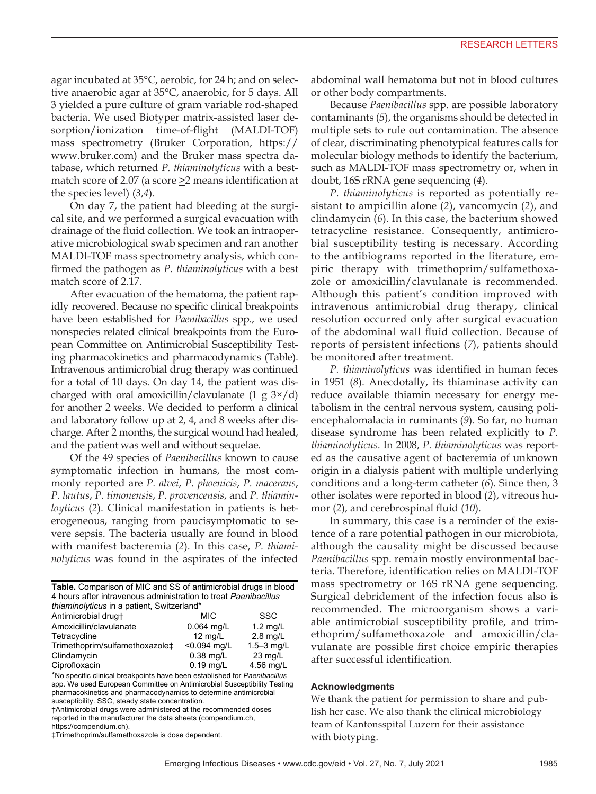agar incubated at 35°C, aerobic, for 24 h; and on selective anaerobic agar at 35°C, anaerobic, for 5 days. All 3 yielded a pure culture of gram variable rod-shaped bacteria. We used Biotyper matrix-assisted laser desorption/ionization time-of-flight (MALDI-TOF) mass spectrometry (Bruker Corporation, https:// www.bruker.com) and the Bruker mass spectra database, which returned *P. thiaminolyticus* with a bestmatch score of 2.07 (a score  $\geq$ 2 means identification at the species level) (*3*,*4*).

On day 7, the patient had bleeding at the surgical site, and we performed a surgical evacuation with drainage of the fluid collection. We took an intraoperative microbiological swab specimen and ran another MALDI-TOF mass spectrometry analysis, which confirmed the pathogen as *P. thiaminolyticus* with a best match score of 2.17.

After evacuation of the hematoma, the patient rapidly recovered. Because no specific clinical breakpoints have been established for *Paenibacillus* spp., we used nonspecies related clinical breakpoints from the European Committee on Antimicrobial Susceptibility Testing pharmacokinetics and pharmacodynamics (Table). Intravenous antimicrobial drug therapy was continued for a total of 10 days. On day 14, the patient was discharged with oral amoxicillin/clavulanate  $(1 g 3 \times /d)$ for another 2 weeks. We decided to perform a clinical and laboratory follow up at 2, 4, and 8 weeks after discharge. After 2 months, the surgical wound had healed, and the patient was well and without sequelae.

Of the 49 species of *Paenibacillus* known to cause symptomatic infection in humans, the most commonly reported are *P. alvei*, *P. phoenicis*, *P. macerans*, *P. lautus*, *P. timonensis*, *P. provencensis*, and *P. thiaminloyticus* (*2*). Clinical manifestation in patients is heterogeneous, ranging from paucisymptomatic to severe sepsis. The bacteria usually are found in blood with manifest bacteremia (*2*). In this case, *P. thiaminolyticus* was found in the aspirates of the infected

| Table. Comparison of MIC and SS of antimicrobial drugs in blood<br>4 hours after intravenous administration to treat Paenibacillus<br>thiaminolyticus in a patient, Switzerland* |                   |                    |
|----------------------------------------------------------------------------------------------------------------------------------------------------------------------------------|-------------------|--------------------|
| Antimicrobial drugt                                                                                                                                                              | <b>MIC</b>        | <b>SSC</b>         |
| Amoxicillin/clavulanate                                                                                                                                                          | $0.064$ mg/L      | $1.2 \text{ mg/L}$ |
| Tetracycline                                                                                                                                                                     | $12 \text{ mg/L}$ | $2.8$ mg/L         |
| Trimethoprim/sulfamethoxazole‡                                                                                                                                                   | <0.094 mg/L       | $1.5 - 3$ mg/L     |
| Clindamycin                                                                                                                                                                      | $0.38$ mg/L       | $23 \text{ mg/L}$  |
| Ciprofloxacin                                                                                                                                                                    | $0.19$ mg/L       | 4.56 mg/L          |

\*No specific clinical breakpoints have been established for *Paenibacillus*  spp. We used European Committee on Antimicrobial Susceptibility Testing pharmacokinetics and pharmacodynamics to determine antimicrobial susceptibility. SSC, steady state concentration.

†Antimicrobial drugs were administered at the recommended doses reported in the manufacturer the data sheets (compendium.ch, https://compendium.ch).

‡Trimethoprim/sulfamethoxazole is dose dependent.

abdominal wall hematoma but not in blood cultures or other body compartments.

Because *Paenibacillus* spp. are possible laboratory contaminants (*5*), the organisms should be detected in multiple sets to rule out contamination. The absence of clear, discriminating phenotypical features calls for molecular biology methods to identify the bacterium, such as MALDI-TOF mass spectrometry or, when in doubt, 16S rRNA gene sequencing (*4*).

*P. thiaminolyticus* is reported as potentially resistant to ampicillin alone (*2*), vancomycin (*2*), and clindamycin (*6*). In this case, the bacterium showed tetracycline resistance. Consequently, antimicrobial susceptibility testing is necessary. According to the antibiograms reported in the literature, empiric therapy with trimethoprim/sulfamethoxazole or amoxicillin/clavulanate is recommended. Although this patient's condition improved with intravenous antimicrobial drug therapy, clinical resolution occurred only after surgical evacuation of the abdominal wall fluid collection. Because of reports of persistent infections (*7*), patients should be monitored after treatment.

*P. thiaminolyticus* was identified in human feces in 1951 (*8*). Anecdotally, its thiaminase activity can reduce available thiamin necessary for energy metabolism in the central nervous system, causing poliencephalomalacia in ruminants (*9*). So far, no human disease syndrome has been related explicitly to *P. thiaminolyticus*. In 2008, *P. thiaminolyticus* was reported as the causative agent of bacteremia of unknown origin in a dialysis patient with multiple underlying conditions and a long-term catheter (*6*). Since then, 3 other isolates were reported in blood (*2*), vitreous humor (*2*), and cerebrospinal fluid (*10*).

In summary, this case is a reminder of the existence of a rare potential pathogen in our microbiota, although the causality might be discussed because *Paenibacillus* spp. remain mostly environmental bacteria. Therefore, identification relies on MALDI-TOF mass spectrometry or 16S rRNA gene sequencing. Surgical debridement of the infection focus also is recommended. The microorganism shows a variable antimicrobial susceptibility profile, and trimethoprim/sulfamethoxazole and amoxicillin/clavulanate are possible first choice empiric therapies after successful identification.

#### **Acknowledgments**

We thank the patient for permission to share and publish her case. We also thank the clinical microbiology team of Kantonsspital Luzern for their assistance with biotyping.